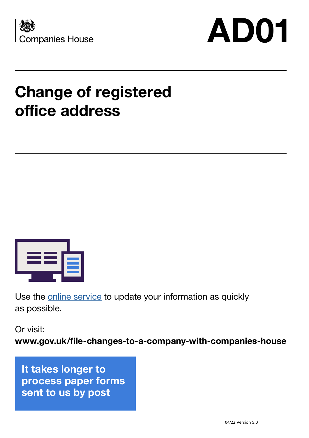



## **Change of registered office address**



Use the **online service** to update your information as quickly as possible.

Or visit:

**www.gov.uk/file-changes-to-a-company-with-companies-house**

**It takes longer to process paper forms sent to us by post**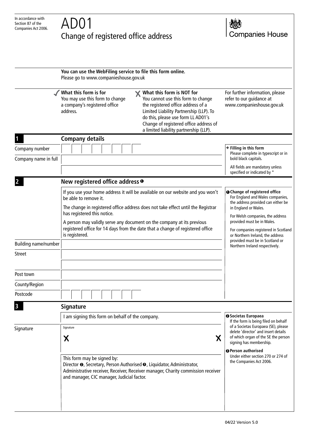## Change of registered office address



|                                        | You can use the WebFiling service to file this form online.<br>Please go to www.companieshouse.gov.uk                                                                                                                                                                                                                                                                                                    |                                                                                                                                                                                                                                                                                      |
|----------------------------------------|----------------------------------------------------------------------------------------------------------------------------------------------------------------------------------------------------------------------------------------------------------------------------------------------------------------------------------------------------------------------------------------------------------|--------------------------------------------------------------------------------------------------------------------------------------------------------------------------------------------------------------------------------------------------------------------------------------|
|                                        | What this form is for<br><b>★ What this form is NOT for</b><br>You cannot use this form to change<br>You may use this form to change<br>a company's registered office<br>the registered office address of a<br>Limited Liability Partnership (LLP). To<br>address.<br>do this, please use form LL AD01's<br>Change of registered office address of<br>a limited liability partnership (LLP).             | For further information, please<br>refer to our guidance at<br>www.companieshouse.gov.uk                                                                                                                                                                                             |
|                                        | <b>Company details</b>                                                                                                                                                                                                                                                                                                                                                                                   |                                                                                                                                                                                                                                                                                      |
| Company number<br>Company name in full |                                                                                                                                                                                                                                                                                                                                                                                                          | $\rightarrow$ Filling in this form<br>Please complete in typescript or in<br>bold black capitals.                                                                                                                                                                                    |
|                                        |                                                                                                                                                                                                                                                                                                                                                                                                          | All fields are mandatory unless<br>specified or indicated by *                                                                                                                                                                                                                       |
|                                        | New registered office address <sup>o</sup>                                                                                                                                                                                                                                                                                                                                                               |                                                                                                                                                                                                                                                                                      |
|                                        | If you use your home address it will be available on our website and you won't<br>be able to remove it.<br>The change in registered office address does not take effect until the Registrar<br>has registered this notice.<br>A person may validly serve any document on the company at its previous<br>registered office for 14 days from the date that a change of registered office<br>is registered. | <b>O</b> Change of registered office<br>For England and Wales companies,<br>the address provided can either be<br>in England or Wales.<br>For Welsh companies, the address<br>provided must be in Wales.<br>For companies registered in Scotland<br>or Northern Ireland, the address |
| Building name/number                   |                                                                                                                                                                                                                                                                                                                                                                                                          | provided must be in Scotland or<br>Northern Ireland respectively.                                                                                                                                                                                                                    |
| <b>Street</b>                          |                                                                                                                                                                                                                                                                                                                                                                                                          |                                                                                                                                                                                                                                                                                      |
| Post town                              |                                                                                                                                                                                                                                                                                                                                                                                                          |                                                                                                                                                                                                                                                                                      |
| County/Region                          |                                                                                                                                                                                                                                                                                                                                                                                                          |                                                                                                                                                                                                                                                                                      |
| Postcode                               |                                                                                                                                                                                                                                                                                                                                                                                                          |                                                                                                                                                                                                                                                                                      |
|                                        | <b>Signature</b>                                                                                                                                                                                                                                                                                                                                                                                         |                                                                                                                                                                                                                                                                                      |
|                                        | I am signing this form on behalf of the company.                                                                                                                                                                                                                                                                                                                                                         | <b>@Societas Europaea</b><br>If the form is being filed on behalf                                                                                                                                                                                                                    |
| Signature                              | Signature<br>Χ<br>Х                                                                                                                                                                                                                                                                                                                                                                                      | of a Societas Europaea (SE), please<br>delete 'director' and insert details<br>of which organ of the SE the person<br>signing has membership.                                                                                                                                        |
|                                        | This form may be signed by:<br>Director <sup>●</sup> , Secretary, Person Authorised <sup>●</sup> , Liquidator, Administrator,<br>Administrative receiver, Receiver, Receiver manager, Charity commission receiver<br>and manager, CIC manager, Judicial factor.                                                                                                                                          | <b>@Person authorised</b><br>Under either section 270 or 274 of<br>the Companies Act 2006.                                                                                                                                                                                           |